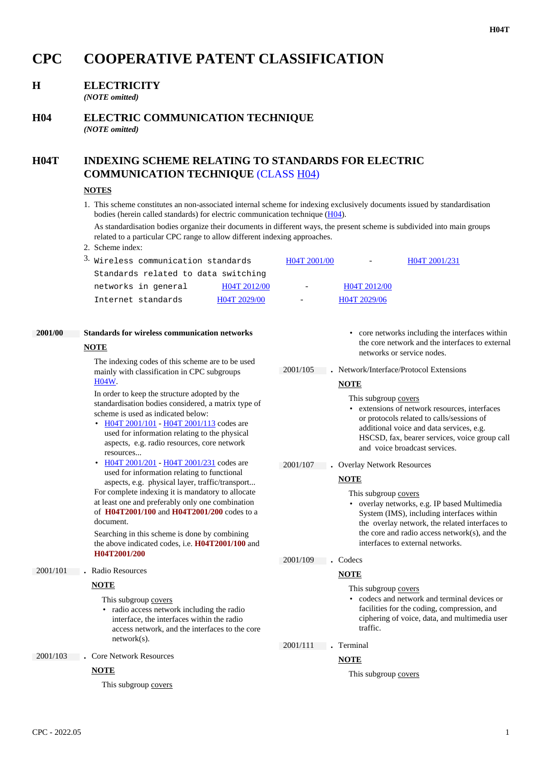# **CPC COOPERATIVE PATENT CLASSIFICATION**

# **H ELECTRICITY**

*(NOTE omitted)*

## **H04 ELECTRIC COMMUNICATION TECHNIQUE** *(NOTE omitted)*

# **H04T INDEXING SCHEME RELATING TO STANDARDS FOR ELECTRIC COMMUNICATION TECHNIQUE** (CLASS H04)

#### **NOTES**

1. This scheme constitutes an non-associated internal scheme for indexing exclusively documents issued by standardisation bodies (herein called standards) for electric communication technique (H04).

As standardisation bodies organize their documents in different ways, the present scheme is subdivided into main groups related to a particular CPC range to allow different indexing approaches.

2. Scheme index:

| <sup>3.</sup> Wireless communication standards |              | H04T 2001/00      | $\sim$ $\sim$ | H04T 2001/231 |
|------------------------------------------------|--------------|-------------------|---------------|---------------|
| Standards related to data switching            |              |                   |               |               |
| networks in general                            | H04T 2012/00 | $\sim$ 100 $\sim$ | H04T 2012/00  |               |
| Internet standards                             | H04T 2029/00 | $\sim$            | H04T 2029/06  |               |

# **2001/00 Standards for wireless communication networks**

#### **NOTE**

The indexing codes of this scheme are to be used mainly with classification in CPC subgroups H04W.

In order to keep the structure adopted by the standardisation bodies considered, a matrix type of scheme is used as indicated below:

- H04T 2001/101 H04T 2001/113 codes are used for information relating to the physical aspects, e.g. radio resources, core network resources...
- H04T 2001/201 H04T 2001/231 codes are used for information relating to functional aspects, e.g. physical layer, traffic/transport... For complete indexing it is mandatory to allocate at least one and preferably only one combination of **H04T2001/100** and **H04T2001/200** codes to a document.

Searching in this scheme is done by combining the above indicated codes, i.e. **H04T2001/100** and **H04T2001/200**

#### 2001/101 **.** Radio Resources

#### **NOTE**

This subgroup covers

• radio access network including the radio interface, the interfaces within the radio access network, and the interfaces to the core network(s).

2001/103 **.** Core Network Resources

#### **NOTE**

This subgroup covers

- core networks including the interfaces within the core network and the interfaces to external networks or service nodes.
- 2001/105 **.** Network/Interface/Protocol Extensions

#### **NOTE**

- This subgroup covers
- extensions of network resources, interfaces or protocols related to calls/sessions of additional voice and data services, e.g. HSCSD, fax, bearer services, voice group call and voice broadcast services.
- 2001/107 **.** Overlay Network Resources

#### **NOTE**

- This subgroup covers
- overlay networks, e.g. IP based Multimedia System (IMS), including interfaces within the overlay network, the related interfaces to the core and radio access network(s), and the interfaces to external networks.

#### 2001/109 **.** Codecs

# **NOTE**

This subgroup covers

• codecs and network and terminal devices or facilities for the coding, compression, and ciphering of voice, data, and multimedia user traffic.

2001/111 **.** Terminal

#### **NOTE**

This subgroup covers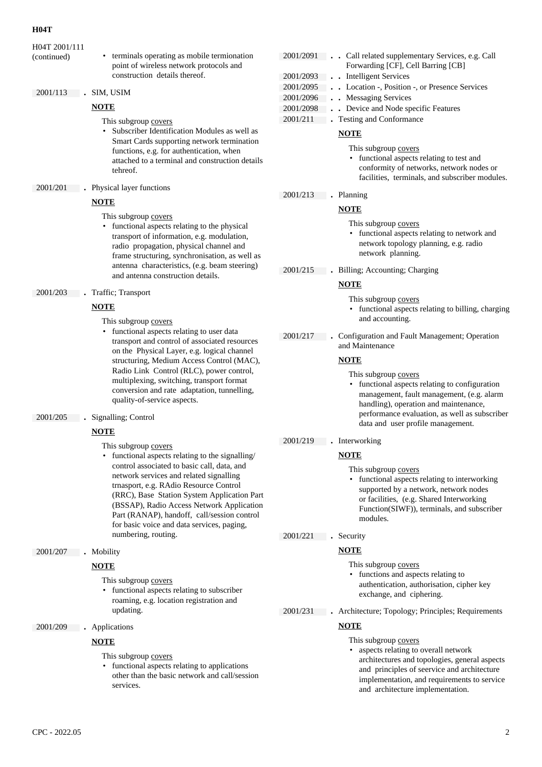#### **H04T**

H04T 2001/111

(continued) • terminals operating as mobile termionation point of wireless network protocols and construction details thereof.

#### 2001/113 **.** SIM, USIM

#### **NOTE**

This subgroup covers

• Subscriber Identification Modules as well as Smart Cards supporting network termination functions, e.g. for authentication, when attached to a terminal and construction details tehreof.

2001/201 **.** Physical layer functions

#### **NOTE**

This subgroup covers

- functional aspects relating to the physical transport of information, e.g. modulation, radio propagation, physical channel and frame structuring, synchronisation, as well as antenna characteristics, (e.g. beam steering) and antenna construction details.
- 2001/203 **.** Traffic; Transport

#### **NOTE**

- This subgroup covers
- functional aspects relating to user data transport and control of associated resources on the Physical Layer, e.g. logical channel structuring, Medium Access Control (MAC), Radio Link Control (RLC), power control, multiplexing, switching, transport format conversion and rate adaptation, tunnelling, quality-of-service aspects.
- 2001/205 **.** Signalling; Control

#### **NOTE**

- This subgroup covers
- functional aspects relating to the signalling/ control associated to basic call, data, and network services and related signalling trnasport, e.g. RAdio Resource Control (RRC), Base Station System Application Part (BSSAP), Radio Access Network Application Part (RANAP), handoff, call/session control for basic voice and data services, paging, numbering, routing.
- 2001/207 **.** Mobility

#### **NOTE**

- This subgroup covers
- functional aspects relating to subscriber roaming, e.g. location registration and updating.
- 2001/209 **.** Applications

#### **NOTE**

This subgroup covers

• functional aspects relating to applications other than the basic network and call/session services.

| 2001/2091 | Call related supplementary Services, e.g. Call<br>Forwarding [CF], Cell Barring [CB] |
|-----------|--------------------------------------------------------------------------------------|
| 2001/2093 | . . Intelligent Services                                                             |
| 2001/2095 | . Location -, Position -, or Presence Services                                       |
| 2001/2096 | . Messaging Services                                                                 |
| 2001/2098 | Device and Node specific Features                                                    |
| 2001/211  | . Testing and Conformance                                                            |
|           |                                                                                      |

# **NOTE**

This subgroup covers

• functional aspects relating to test and conformity of networks, network nodes or facilities, terminals, and subscriber modules.

#### 2001/213 **.** Planning

#### **NOTE**

- This subgroup covers
- functional aspects relating to network and network topology planning, e.g. radio network planning.
- 2001/215 **.** Billing; Accounting; Charging

#### **NOTE**

- This subgroup covers
- functional aspects relating to billing, charging and accounting.
- 2001/217 **.** Configuration and Fault Management; Operation and Maintenance

#### **NOTE**

This subgroup covers

• functional aspects relating to configuration management, fault management, (e.g. alarm handling), operation and maintenance, performance evaluation, as well as subscriber data and user profile management.

#### 2001/219 **.** Interworking

#### **NOTE**

This subgroup covers

• functional aspects relating to interworking supported by a network, network nodes or facilities, (e.g. Shared Interworking Function(SIWF)), terminals, and subscriber modules.

2001/221 **.** Security

# **NOTE**

- This subgroup covers
- functions and aspects relating to authentication, authorisation, cipher key exchange, and ciphering.
- 2001/231 **.** Architecture; Topology; Principles; Requirements

### **NOTE**

- This subgroup covers
- aspects relating to overall network architectures and topologies, general aspects and principles of seervice and architecture implementation, and requirements to service and architecture implementation.